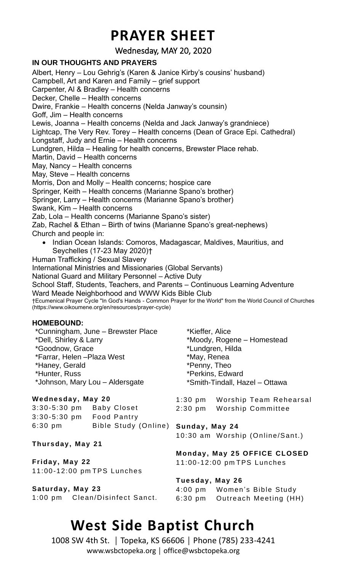## **PRAYER SHEET**

Wednesday, MAY 20, 2020

### **IN OUR THOUGHTS AND PRAYERS**

Albert, Henry – Lou Gehrig's (Karen & Janice Kirby's cousins' husband) Campbell, Art and Karen and Family – grief support Carpenter, Al & Bradley – Health concerns Decker, Chelle – Health concerns Dwire, Frankie – Health concerns (Nelda Janway's counsin) Goff, Jim – Health concerns Lewis, Joanna – Health concerns (Nelda and Jack Janway's grandniece) Lightcap, The Very Rev. Torey – Health concerns (Dean of Grace Epi. Cathedral) Longstaff, Judy and Ernie – Health concerns Lundgren, Hilda – Healing for health concerns, Brewster Place rehab. Martin, David – Health concerns May, Nancy – Health concerns May, Steve – Health concerns Morris, Don and Molly – Health concerns; hospice care Springer, Keith – Health concerns (Marianne Spano's brother) Springer, Larry – Health concerns (Marianne Spano's brother) Swank, Kim – Health concerns Zab, Lola – Health concerns (Marianne Spano's sister) Zab, Rachel & Ethan – Birth of twins (Marianne Spano's great-nephews) Church and people in: • Indian Ocean Islands: Comoros, Madagascar, Maldives, Mauritius, and Seychelles (17-23 May 2020)† Human Trafficking / Sexual Slavery International Ministries and Missionaries (Global Servants) National Guard and Military Personnel – Active Duty School Staff, Students, Teachers, and Parents – Continuous Learning Adventure Ward Meade Neighborhood and WWW Kids Bible Club †Ecumenical Prayer Cycle "In God's Hands - Common Prayer for the World" from the World Council of Churches (https://www.oikoumene.org/en/resources/prayer-cycle) **HOMEBOUND:** \*Cunningham, June – Brewster Place \*Dell, Shirley & Larry \*Goodnow, Grace \*Farrar, Helen –Plaza West \*Haney, Gerald \*Hunter, Russ \*Johnson, Mary Lou – Aldersgate \*Kieffer, Alice \*Moody, Rogene – Homestead \*Lundgren, Hilda \*May, Renea \*Penny, Theo \*Perkins, Edward \*Smith-Tindall, Hazel – Ottawa **Wednesday, May 20** 3:30-5:30 pm Baby Closet 3:30-5:30 pm Food Pantry 6:30 pm Bible Study (Online) **Sunday, May 24 Thursday, May 21** 1:30 pm Worship Team Rehearsal 2:30 pm Worship Committee 10:30 am Worship (Online/Sant.)

**Friday, May 22** 11:00 -12:00 pm TPS Lunches

**Saturday, May 23** 1:00 pm Clean/Disinfect Sanct. **Monday, May 25 OFFICE CLOSED**  11:00 -12:00 pm TPS Lunches

**Tuesday, May 26** 4:00 pm Women's Bible Study 6:30 pm Outreach Meeting (HH)

## **West Side Baptist Church**

1008 SW 4th St. │ Topeka, KS 66606 │ Phone (785) 233-4241 www.wsbctopeka.org │ office@wsbctopeka.org